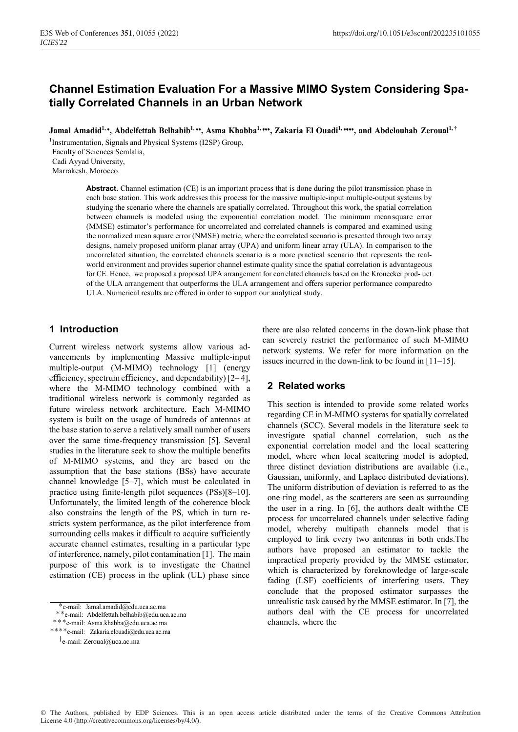# **Channel Estimation Evaluation For a Massive MIMO System Considering Spatially Correlated Channels in an Urban Network**

Jamal Amadid<sup>1,\*</sup>, Abdelfettah Belhabib<sup>1,\*\*</sup>, Asma Khabba<sup>1,\*\*\*</sup>, Zakaria El Ouadi<sup>1,\*\*\*\*</sup>, and Abdelouhab Zeroual<sup>1,†</sup>

<sup>1</sup>Instrumentation, Signals and Physical Systems (I2SP) Group, Faculty of Sciences Semlalia, Cadi Ayyad University, Marrakesh, Morocco.

> **Abstract.** Channel estimation (CE) is an important process that is done during the pilot transmission phase in each base station. This work addresses this process for the massive multiple-input multiple-output systems by studying the scenario where the channels are spatially correlated. Throughout this work, the spatial correlation between channels is modeled using the exponential correlation model. The minimum mean square error (MMSE) estimator's performance for uncorrelated and correlated channels is compared and examined using the normalized mean square error (NMSE) metric, where the correlated scenario is presented through two array designs, namely proposed uniform planar array (UPA) and uniform linear array (ULA). In comparison to the uncorrelated situation, the correlated channels scenario is a more practical scenario that represents the realworld environment and provides superior channel estimate quality since the spatial correlation is advantageous for CE. Hence, we proposed a proposed UPA arrangement for correlated channels based on the Kronecker prod- uct of the ULA arrangement that outperforms the ULA arrangement and offers superior performance comparedto ULA. Numerical results are offered in order to support our analytical study.

# **1 Introduction**

Current wireless network systems allow various advancements by implementing Massive multiple-input multiple-output (M-MIMO) technology [1] (energy efficiency, spectrum efficiency, and dependability) [2– 4], where the M-MIMO technology combined with a traditional wireless network is commonly regarded as future wireless network architecture. Each M-MIMO system is built on the usage of hundreds of antennas at the base station to serve a relatively small number of users over the same time-frequency transmission [5]. Several studies in the literature seek to show the multiple benefits of M-MIMO systems, and they are based on the assumption that the base stations (BSs) have accurate channel knowledge [5–7], which must be calculated in practice using finite-length pilot sequences (PSs)[8–10]. Unfortunately, the limited length of the coherence block also constrains the length of the PS, which in turn restricts system performance, as the pilot interference from surrounding cells makes it difficult to acquire sufficiently accurate channel estimates, resulting in a particular type of interference, namely, pilot contamination [1]. The main purpose of this work is to investigate the Channel estimation (CE) process in the uplink (UL) phase since

there are also related concerns in the down-link phase that can severely restrict the performance of such M-MIMO network systems. We refer for more information on the issues incurred in the down-link to be found in [11–15].

# **2 Related works**

This section is intended to provide some related works regarding CE in M-MIMO systems for spatially correlated channels (SCC). Several models in the literature seek to investigate spatial channel correlation, such as the exponential correlation model and the local scattering model, where when local scattering model is adopted, three distinct deviation distributions are available (i.e., Gaussian, uniformly, and Laplace distributed deviations). The uniform distribution of deviation is referred to as the one ring model, as the scatterers are seen as surrounding the user in a ring. In [6], the authors dealt withthe CE process for uncorrelated channels under selective fading model, whereby multipath channels model that is employed to link every two antennas in both ends.The authors have proposed an estimator to tackle the impractical property provided by the MMSE estimator, which is characterized by foreknowledge of large-scale fading (LSF) coefficients of interfering users. They conclude that the proposed estimator surpasses the unrealistic task caused by the MMSE estimator. In [7], the authors deal with the CE process for uncorrelated channels, where the

<sup>∗</sup>e-mail: Jamal.amadid@edu.uca.ac.ma ∗∗e-mail: Abdelfettah.belhabib@edu.uca.ac.ma ∗∗∗e-mail: Asma.khabba@edu.uca.ac.ma

<sup>∗∗∗∗</sup>e-mail: Zakaria.elouadi@edu.uca.ac.ma

<sup>†</sup>e-mail: Zeroual@uca.ac.ma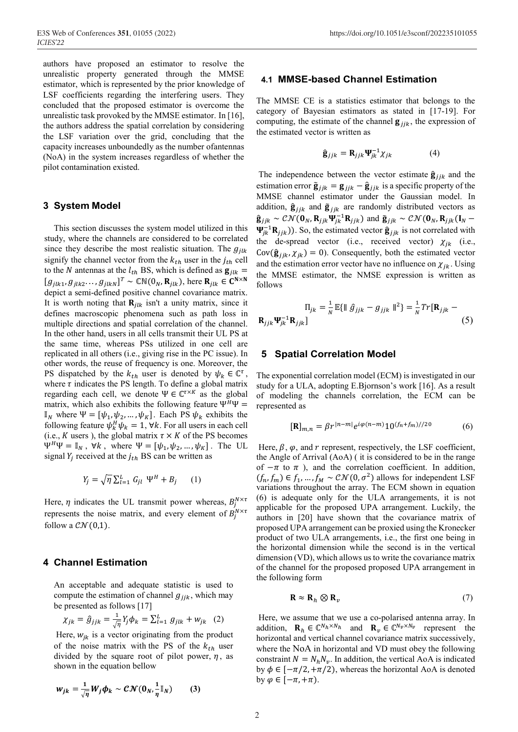authors have proposed an estimator to resolve the unrealistic property generated through the MMSE estimator, which is represented by the prior knowledge of LSF coefficients regarding the interfering users. They concluded that the proposed estimator is overcome the unrealistic task provoked by the MMSE estimator. In [16], the authors address the spatial correlation by considering the LSF variation over the grid, concluding that the capacity increases unboundedly as the number ofantennas (NoA) in the system increases regardless of whether the pilot contamination existed.

#### **3 System Model**

This section discusses the system model utilized in this study, where the channels are considered to be correlated since they describe the most realistic situation. The  $g_{ilk}$ signify the channel vector from the  $k_{th}$  user in the  $j_{th}$  cell to the N antennas at the  $l_{th}$  BS, which is defined as  $\mathbf{g}_{ilk}$  =  $[g_{jlk1}, g_{jlk2}, \ldots, g_{jlkN}]^T \sim \mathbb{CN}(0_N, \mathbf{R}_{jlk}),$  here  $\mathbf{R}_{jlk} \in \mathbf{C}^{N \times N}$ depict a semi-defined positive channel covariance matrix. It is worth noting that  $\mathbf{R}_{ilk}$  isn't a unity matrix, since it defines macroscopic phenomena such as path loss in multiple directions and spatial correlation of the channel. In the other hand, users in all cells transmit their UL PS at the same time, whereas PSs utilized in one cell are replicated in all others (i.e., giving rise in the PC issue). In other words, the reuse of frequency is one. Moreover, the PS dispatched by the  $k_{th}$  user is denoted by  $\psi_k \in \mathbb{C}^{\tau}$ , where  $\tau$  indicates the PS length. To define a global matrix regarding each cell, we denote  $\Psi \in \mathbb{C}^{\tau \times K}$  as the global matrix, which also exhibits the following feature  $\Psi^H\Psi =$  $\mathbb{I}_N$  where  $\Psi = [\psi_1, \psi_2, ..., \psi_K]$ . Each PS  $\psi_k$  exhibits the following feature  $\psi_k^H \psi_k = 1$ ,  $\forall k$ . For all users in each cell (i.e., *K* users ), the global matrix  $\tau \times K$  of the PS becomes  $\Psi^H \Psi = \mathbb{I}_N$ ,  $\forall k$ , where  $\Psi = [\psi_1, \psi_2, ..., \psi_K]$ . The UL signal  $Y_i$  received at the  $j_{th}$  BS can be written as

$$
Y_j = \sqrt{\eta} \sum_{l=1}^L G_{jl} \Psi^H + B_j \qquad (1)
$$

Here,  $\eta$  indicates the UL transmit power whereas,  $B_j^{N \times \tau}$ represents the noise matrix, and every element of  $B_j^{N \times \tau}$ follow a  $\mathcal{CN}(0,1)$ .

#### **4 Channel Estimation**

An acceptable and adequate statistic is used to compute the estimation of channel  $g_{ijk}$ , which may be presented as follows [17]

$$
\chi_{jk} = \hat{g}_{jjk} = \frac{1}{\sqrt{\eta}} Y_j \phi_k = \sum_{l=1}^{L} g_{jlk} + w_{jk} \quad (2)
$$

Here,  $w_{jk}$  is a vector originating from the product of the noise matrix with the PS of the  $k_{th}$  user divided by the square root of pilot power,  $\eta$ , as shown in the equation bellow

$$
w_{jk} = \frac{1}{\sqrt{\eta}} W_j \phi_k \sim \mathcal{CN}(0_N, \frac{1}{\eta} \mathbb{I}_N)
$$
 (3)

#### **4.1 MMSE-based Channel Estimation**

The MMSE CE is a statistics estimator that belongs to the category of Bayesian estimators as stated in [17-19]. For computing, the estimate of the channel  $\mathbf{g}_{iik}$ , the expression of the estimated vector is written as

$$
\hat{\mathbf{g}}_{jjk} = \mathbf{R}_{jjk} \mathbf{\Psi}_{jk}^{-1} \chi_{jk} \tag{4}
$$

The independence between the vector estimate  $\hat{\mathbf{g}}_{jjk}$  and the estimation error  $\tilde{\mathbf{g}}_{ijk} = \mathbf{g}_{ijk} - \hat{\mathbf{g}}_{ijk}$  is a specific property of the MMSE channel estimator under the Gaussian model. In addition,  $\hat{\mathbf{g}}_{ijk}$  and  $\tilde{\mathbf{g}}_{ijk}$  are randomly distributed vectors as  $\hat{\mathbf{g}}_{jjk} \sim \mathcal{CN}(\mathbf{0}_N, \mathbf{R}_{jjk}\mathbf{\Psi}_{jk}^{-1}\mathbf{R}_{jjk})$  and  $\tilde{\mathbf{g}}_{jjk} \sim \mathcal{CN}(\mathbf{0}_N, \mathbf{R}_{jjk}(\mathbf{I}_N - \mathbf{R}_{jjk}))$  $\Psi_{jk}^{-1}$ **R**<sub>jjk</sub>)). So, the estimated vector  $\hat{\mathbf{g}}_{ijk}$  is not correlated with the de-spread vector (i.e., received vector)  $\chi_{jk}$  (i.e.,  $Cov(\hat{\mathbf{g}}_{iik}, \chi_{ik}) = 0$ ). Consequently, both the estimated vector and the estimation error vector have no influence on  $\chi_{ik}$ . Using the MMSE estimator, the NMSE expression is written as follows

$$
\Pi_{jk} = \frac{1}{N} \mathbb{E} \{ \| \hat{g}_{jjk} - g_{jjk} \|^2 \} = \frac{1}{N} Tr[\mathbf{R}_{jjk} - \mathbf{R}_{jjk} \mathbf{R}_{jk}]
$$
\n(5)

#### **5 Spatial Correlation Model**

The exponential correlation model (ECM) is investigated in our study for a ULA, adopting E.Bjornson's work [16]. As a result of modeling the channels correlation, the ECM can be represented as

$$
[\mathbf{R}]_{m,n} = \beta r^{|n-m|} e^{i\varphi(n-m)} 10^{(f_n + f_m)/20}
$$
 (6)

Here,  $\beta$ ,  $\varphi$ , and  $r$  represent, respectively, the LSF coefficient, the Angle of Arrival (AoA) ( it is considered to be in the range of  $-\pi$  to  $\pi$ ), and the correlation coefficient. In addition,  $(f_n, f_m) \in f_1, ..., f_M \sim \mathcal{CN}(0, \sigma^2)$  allows for independent LSF variations throughout the array. The ECM shown in equation (6) is adequate only for the ULA arrangements, it is not applicable for the proposed UPA arrangement. Luckily, the authors in [20] have shown that the covariance matrix of proposed UPA arrangement can be proxied using the Kronecker product of two ULA arrangements, i.e., the first one being in the horizontal dimension while the second is in the vertical dimension (VD), which allows us to write the covariance matrix of the channel for the proposed proposed UPA arrangement in the following form

$$
\mathbf{R} \approx \mathbf{R}_h \otimes \mathbf{R}_v \tag{7}
$$

Here, we assume that we use a co-polarised antenna array. In addition,  $\mathbf{R}_h \in \mathbb{C}^{N_h \times N_h}$  and  $\mathbf{R}_v \in \mathbb{C}^{N_v \times N_v}$  represent the horizontal and vertical channel covariance matrix successively, where the NoA in horizontal and VD must obey the following constraint  $N = N_h N_v$ . In addition, the vertical AoA is indicated by  $\phi \in [-\pi/2, +\pi/2)$ , whereas the horizontal AoA is denoted by  $\varphi \in [-\pi, +\pi)$ .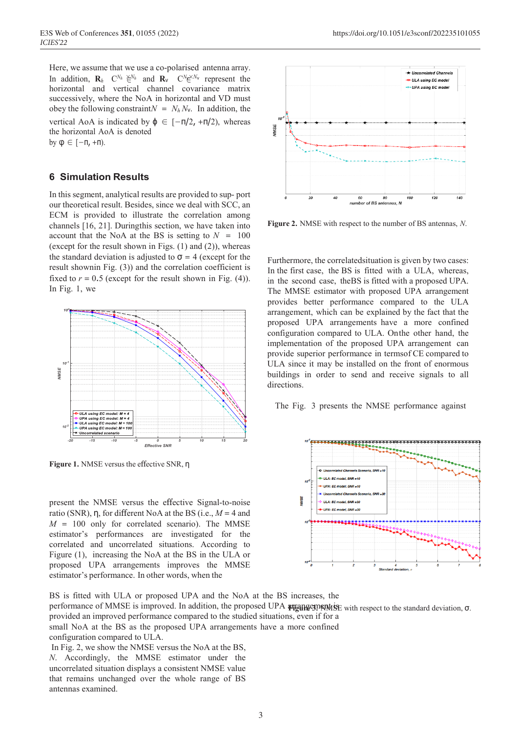In addition,  $\mathbf{R}_h$   $C^{N_h} \notin \mathbb{R}^{N_h}$  and  $\mathbf{R}_v$   $C^{N_h} \notin \mathbb{R}^{N_h}$  represent the Here, we assume that we use a co-polarised antenna array. horizontal and vertical channel covariance matrix successively, where the NoA in horizontal and VD must obey the following constraint $N = N_h N_v$ . In addition, the vertical AoA is indicated by  $\phi \in [-\pi/2, +\pi/2)$ , whereas the horizontal AoA is denoted

by  $φ ∈ [-π, +π)$ .

# **6 Simulation Results**

In this segment, analytical results are provided to sup- port our theoretical result. Besides, since we deal with SCC, an ECM is provided to illustrate the correlation among channels [16, 21]. Duringthis section, we have taken into account that the NoA at the BS is setting to  $N = 100$ (except for the result shown in Figs.  $(1)$  and  $(2)$ ), whereas the standard deviation is adjusted to  $\sigma = 4$  (except for the result shownin Fig. (3)) and the correlation coefficient is fixed to  $r = 0.5$  (except for the result shown in Fig.  $(4)$ ). In Fig. 1, we



**Figure 1.** NMSE versus the effective SNR, η

present the NMSE versus the effective Signal-to-noise ratio (SNR), η, for different NoA at the BS (i.e., *M* = 4 and  $M = 100$  only for correlated scenario). The MMSE estimator's performances are investigated for the correlated and uncorrelated situations. According to Figure (1), increasing the NoA at the BS in the ULA or proposed UPA arrangements improves the MMSE estimator's performance. In other words, when the



**Figure 2.** NMSE with respect to the number of BS antennas, *N*.

Furthermore, the correlatedsituation is given by two cases: In the first case, the BS is fitted with a ULA, whereas, in the second case, theBS is fitted with a proposed UPA. The MMSE estimator with proposed UPA arrangement provides better performance compared to the ULA arrangement, which can be explained by the fact that the proposed UPA arrangements have a more confined configuration compared to ULA. Onthe other hand, the implementation of the proposed UPA arrangement can provide superior performance in termsof CE compared to ULA since it may be installed on the front of enormous buildings in order to send and receive signals to all directions.

The Fig. 3 presents the NMSE performance against



BS is fitted with ULA or proposed UPA and the NoA at the BS increases, the performance of MMSE is improved. In addition, the proposed UPA **argament is** with respect to the standard deviation, σ. provided an improved performance compared to the studied situations, even if for a small NoA at the BS as the proposed UPA arrangements have a more confined configuration compared to ULA.

In Fig. 2, we show the NMSE versus the NoA at the BS, *N*. Accordingly, the MMSE estimator under the uncorrelated situation displays a consistent NMSE value that remains unchanged over the whole range of BS antennas examined.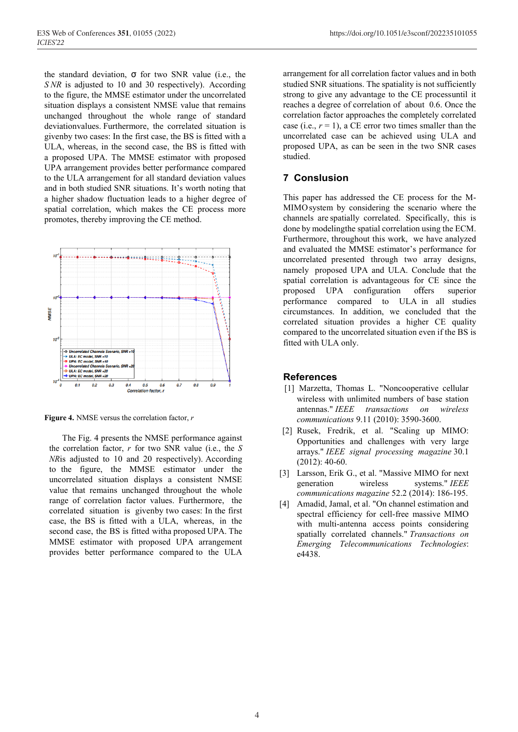the standard deviation,  $\sigma$  for two SNR value (i.e., the *S NR* is adjusted to 10 and 30 respectively). According to the figure, the MMSE estimator under the uncorrelated situation displays a consistent NMSE value that remains unchanged throughout the whole range of standard deviationvalues. Furthermore, the correlated situation is givenby two cases: In the first case, the BS is fitted with a ULA, whereas, in the second case, the BS is fitted with a proposed UPA. The MMSE estimator with proposed UPA arrangement provides better performance compared to the ULA arrangement for all standard deviation values and in both studied SNR situations. It's worth noting that a higher shadow fluctuation leads to a higher degree of spatial correlation, which makes the CE process more promotes, thereby improving the CE method.



**Figure 4.** NMSE versus the correlation factor, *r*

The Fig. 4 presents the NMSE performance against the correlation factor, *r* for two SNR value (i.e., the *S NR*is adjusted to 10 and 20 respectively). According to the figure, the MMSE estimator under the uncorrelated situation displays a consistent NMSE value that remains unchanged throughout the whole range of correlation factor values. Furthermore, the correlated situation is givenby two cases: In the first case, the BS is fitted with a ULA, whereas, in the second case, the BS is fitted witha proposed UPA. The MMSE estimator with proposed UPA arrangement provides better performance compared to the ULA arrangement for all correlation factor values and in both studied SNR situations. The spatiality is not sufficiently strong to give any advantage to the CE processuntil it reaches a degree of correlation of about 0.6. Once the correlation factor approaches the completely correlated case (i.e.,  $r = 1$ ), a CE error two times smaller than the uncorrelated case can be achieved using ULA and proposed UPA, as can be seen in the two SNR cases studied.

# **7 Conslusion**

This paper has addressed the CE process for the M-MIMOsystem by considering the scenario where the channels are spatially correlated. Specifically, this is done by modelingthe spatial correlation using the ECM. Furthermore, throughout this work, we have analyzed and evaluated the MMSE estimator's performance for uncorrelated presented through two array designs, namely proposed UPA and ULA. Conclude that the spatial correlation is advantageous for CE since the proposed UPA configuration offers superior performance compared to ULA in all studies circumstances. In addition, we concluded that the correlated situation provides a higher CE quality compared to the uncorrelated situation even if the BS is fitted with ULA only.

#### **References**

- [1] Marzetta, Thomas L. "Noncooperative cellular wireless with unlimited numbers of base station antennas." *IEEE transactions on wireless communications* 9.11 (2010): 3590-3600.
- [2] Rusek, Fredrik, et al. "Scaling up MIMO: Opportunities and challenges with very large arrays." *IEEE signal processing magazine* 30.1 (2012): 40-60.
- [3] Larsson, Erik G., et al. "Massive MIMO for next generation wireless systems." *IEEE communications magazine* 52.2 (2014): 186-195.
- [4] Amadid, Jamal, et al. "On channel estimation and spectral efficiency for cell‐free massive MIMO with multi-antenna access points considering spatially correlated channels." *Transactions on Emerging Telecommunications Technologies*: e4438.